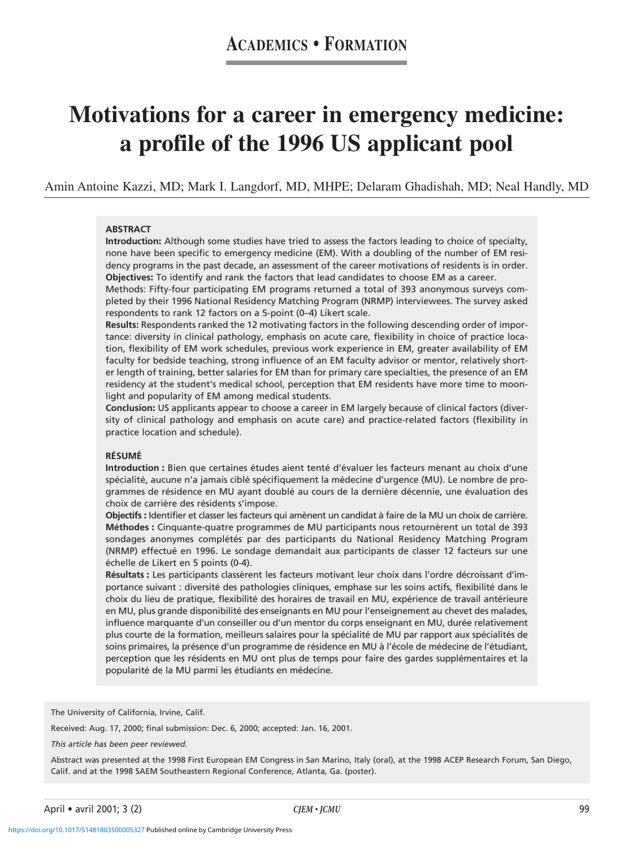# **Motivations for a career in emergency medicine: a profile of the 1996 US applicant pool**

#### Amin Antoine Kazzi, MD; Mark I. Langdorf, MD, MHPE; Delaram Ghadishah, MD; Neal Handly, MD

#### **ABSTRACT**

**Introduction:** Although some studies have tried to assess the factors leading to choice of specialty, none have been specific to emergency medicine (EM). With a doubling of the number of EM residency programs in the past decade, an assessment of the career motivations of residents is in order. **Objectives:** To identify and rank the factors that lead candidates to choose EM as a career.

Methods: Fifty-four participating EM programs returned a total of 393 anonymous surveys completed by their 1996 National Residency Matching Program (NRMP) interviewees. The survey asked respondents to rank 12 factors on a 5-point (0–4) Likert scale.

**Results:** Respondents ranked the 12 motivating factors in the following descending order of importance: diversity in clinical pathology, emphasis on acute care, flexibility in choice of practice location, flexibility of EM work schedules, previous work experience in EM, greater availability of EM faculty for bedside teaching, strong influence of an EM faculty advisor or mentor, relatively shorter length of training, better salaries for EM than for primary care specialties, the presence of an EM residency at the student's medical school, perception that EM residents have more time to moonlight and popularity of EM among medical students.

**Conclusion:** US applicants appear to choose a career in EM largely because of clinical factors (diversity of clinical pathology and emphasis on acute care) and practice-related factors (flexibility in practice location and schedule).

#### **RÉSUMÉ**

**Introduction :** Bien que certaines études aient tenté d'évaluer les facteurs menant au choix d'une spécialité, aucune n'a jamais ciblé spécifiquement la médecine d'urgence (MU). Le nombre de programmes de résidence en MU ayant doublé au cours de la dernière décennie, une évaluation des choix de carrière des résidents s'impose.

**Objectifs :** Identifier et classer les facteurs qui amènent un candidat à faire de la MU un choix de carrière. **Méthodes :** Cinquante-quatre programmes de MU participants nous retournèrent un total de 393 sondages anonymes complétés par des participants du National Residency Matching Program (NRMP) effectué en 1996. Le sondage demandait aux participants de classer 12 facteurs sur une échelle de Likert en 5 points (0-4).

**Résultats :** Les participants classèrent les facteurs motivant leur choix dans l'ordre décroissant d'importance suivant : diversité des pathologies cliniques, emphase sur les soins actifs, flexibilité dans le choix du lieu de pratique, flexibilité des horaires de travail en MU, expérience de travail antérieure en MU, plus grande disponibilité des enseignants en MU pour l'enseignement au chevet des malades, influence marquante d'un conseiller ou d'un mentor du corps enseignant en MU, durée relativement plus courte de la formation, meilleurs salaires pour la spécialité de MU par rapport aux spécialités de soins primaires, la présence d'un programme de résidence en MU à l'école de médecine de l'étudiant, perception que les résidents en MU ont plus de temps pour faire des gardes supplémentaires et la popularité de la MU parmi les étudiants en médecine.

The University of California, Irvine, Calif.

Received: Aug. 17, 2000; final submission: Dec. 6, 2000; accepted: Jan. 16, 2001.

*This article has been peer reviewed.*

Abstract was presented at the 1998 First European EM Congress in San Marino, Italy (oral), at the 1998 ACEP Research Forum, San Diego, Calif. and at the 1998 SAEM Southeastern Regional Conference, Atlanta, Ga. (poster).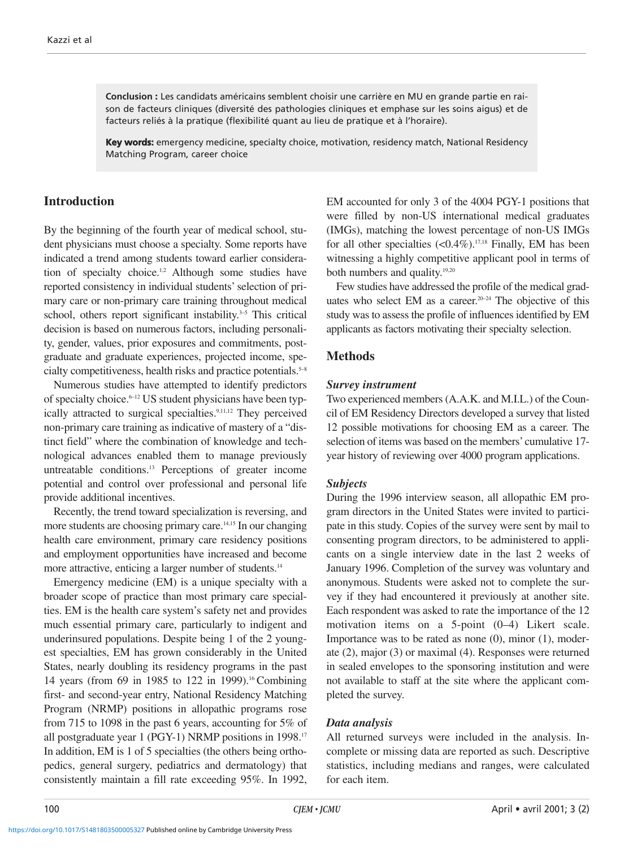**Conclusion :** Les candidats américains semblent choisir une carrière en MU en grande partie en raison de facteurs cliniques (diversité des pathologies cliniques et emphase sur les soins aigus) et de facteurs reliés à la pratique (flexibilité quant au lieu de pratique et à l'horaire).

**Key words:** emergency medicine, specialty choice, motivation, residency match, National Residency Matching Program, career choice

#### **Introduction**

By the beginning of the fourth year of medical school, student physicians must choose a specialty. Some reports have indicated a trend among students toward earlier consideration of specialty choice.<sup>1,2</sup> Although some studies have reported consistency in individual students' selection of primary care or non-primary care training throughout medical school, others report significant instability.<sup>3-5</sup> This critical decision is based on numerous factors, including personality, gender, values, prior exposures and commitments, postgraduate and graduate experiences, projected income, specialty competitiveness, health risks and practice potentials.<sup>5-8</sup>

Numerous studies have attempted to identify predictors of specialty choice.6–12 US student physicians have been typically attracted to surgical specialties.<sup>9,11,12</sup> They perceived non-primary care training as indicative of mastery of a "distinct field" where the combination of knowledge and technological advances enabled them to manage previously untreatable conditions.13 Perceptions of greater income potential and control over professional and personal life provide additional incentives.

Recently, the trend toward specialization is reversing, and more students are choosing primary care.<sup>14,15</sup> In our changing health care environment, primary care residency positions and employment opportunities have increased and become more attractive, enticing a larger number of students.<sup>14</sup>

Emergency medicine (EM) is a unique specialty with a broader scope of practice than most primary care specialties. EM is the health care system's safety net and provides much essential primary care, particularly to indigent and underinsured populations. Despite being 1 of the 2 youngest specialties, EM has grown considerably in the United States, nearly doubling its residency programs in the past 14 years (from 69 in 1985 to 122 in 1999).16 Combining first- and second-year entry, National Residency Matching Program (NRMP) positions in allopathic programs rose from 715 to 1098 in the past 6 years, accounting for 5% of all postgraduate year 1 (PGY-1) NRMP positions in 1998.17 In addition, EM is 1 of 5 specialties (the others being orthopedics, general surgery, pediatrics and dermatology) that consistently maintain a fill rate exceeding 95%. In 1992,

EM accounted for only 3 of the 4004 PGY-1 positions that were filled by non-US international medical graduates (IMGs), matching the lowest percentage of non-US IMGs for all other specialties  $\left($ <0.4%).<sup>17,18</sup> Finally, EM has been witnessing a highly competitive applicant pool in terms of both numbers and quality.<sup>19,20</sup>

Few studies have addressed the profile of the medical graduates who select EM as a career.<sup>20-24</sup> The objective of this study was to assess the profile of influences identified by EM applicants as factors motivating their specialty selection.

#### **Methods**

#### *Survey instrument*

Two experienced members (A.A.K. and M.I.L.) of the Council of EM Residency Directors developed a survey that listed 12 possible motivations for choosing EM as a career. The selection of items was based on the members'cumulative 17 year history of reviewing over 4000 program applications.

#### *Subjects*

During the 1996 interview season, all allopathic EM program directors in the United States were invited to participate in this study. Copies of the survey were sent by mail to consenting program directors, to be administered to applicants on a single interview date in the last 2 weeks of January 1996. Completion of the survey was voluntary and anonymous. Students were asked not to complete the survey if they had encountered it previously at another site. Each respondent was asked to rate the importance of the 12 motivation items on a 5-point (0–4) Likert scale. Importance was to be rated as none  $(0)$ , minor  $(1)$ , moderate (2), major (3) or maximal (4). Responses were returned in sealed envelopes to the sponsoring institution and were not available to staff at the site where the applicant completed the survey.

#### *Data analysis*

All returned surveys were included in the analysis. Incomplete or missing data are reported as such. Descriptive statistics, including medians and ranges, were calculated for each item.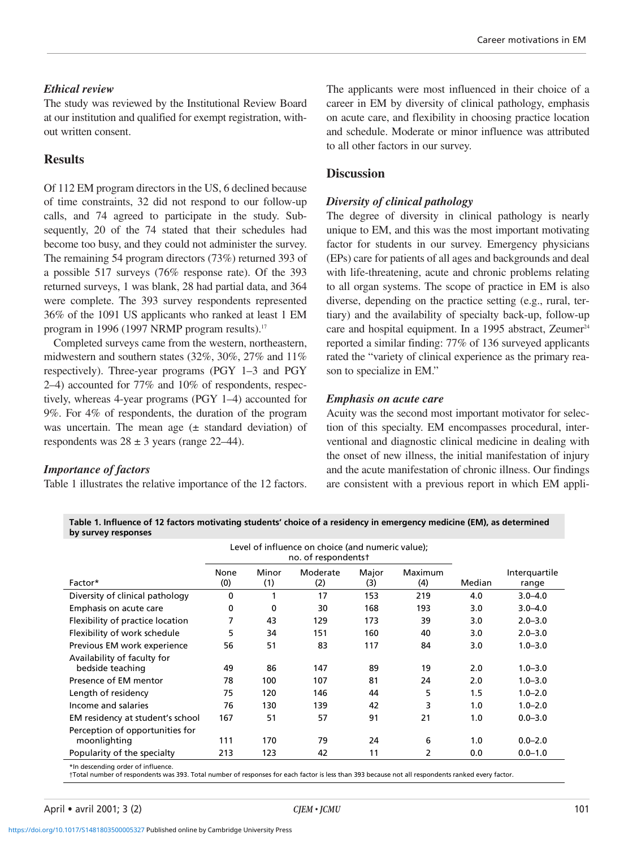#### *Ethical review*

The study was reviewed by the Institutional Review Board at our institution and qualified for exempt registration, without written consent.

# **Results**

Of 112 EM program directors in the US, 6 declined because of time constraints, 32 did not respond to our follow-up calls, and 74 agreed to participate in the study. Subsequently, 20 of the 74 stated that their schedules had become too busy, and they could not administer the survey. The remaining 54 program directors (73%) returned 393 of a possible 517 surveys (76% response rate). Of the 393 returned surveys, 1 was blank, 28 had partial data, and 364 were complete. The 393 survey respondents represented 36% of the 1091 US applicants who ranked at least 1 EM program in 1996 (1997 NRMP program results).<sup>17</sup>

Completed surveys came from the western, northeastern, midwestern and southern states (32%, 30%, 27% and 11% respectively). Three-year programs (PGY 1–3 and PGY 2–4) accounted for 77% and 10% of respondents, respectively, whereas 4-year programs (PGY 1–4) accounted for 9%. For 4% of respondents, the duration of the program was uncertain. The mean age  $(\pm$  standard deviation) of respondents was  $28 \pm 3$  years (range 22–44).

# *Importance of factors*

Table 1 illustrates the relative importance of the 12 factors.

The applicants were most influenced in their choice of a career in EM by diversity of clinical pathology, emphasis on acute care, and flexibility in choosing practice location and schedule. Moderate or minor influence was attributed to all other factors in our survey.

# **Discussion**

#### *Diversity of clinical pathology*

The degree of diversity in clinical pathology is nearly unique to EM, and this was the most important motivating factor for students in our survey. Emergency physicians (EPs) care for patients of all ages and backgrounds and deal with life-threatening, acute and chronic problems relating to all organ systems. The scope of practice in EM is also diverse, depending on the practice setting (e.g., rural, tertiary) and the availability of specialty back-up, follow-up care and hospital equipment. In a 1995 abstract, Zeumer<sup>24</sup> reported a similar finding: 77% of 136 surveyed applicants rated the "variety of clinical experience as the primary reason to specialize in EM."

#### *Emphasis on acute care*

Acuity was the second most important motivator for selection of this specialty. EM encompasses procedural, interventional and diagnostic clinical medicine in dealing with the onset of new illness, the initial manifestation of injury and the acute manifestation of chronic illness. Our findings are consistent with a previous report in which EM appli-

**Table 1. Influence of 12 factors motivating students' choice of a residency in emergency medicine (EM), as determined by survey responses**

|                                                 | Level of influence on choice (and numeric value);<br>no. of respondentst |              |                 |              |                |        |                        |
|-------------------------------------------------|--------------------------------------------------------------------------|--------------|-----------------|--------------|----------------|--------|------------------------|
| Factor*                                         | None<br>(0)                                                              | Minor<br>(1) | Moderate<br>(2) | Major<br>(3) | Maximum<br>(4) | Median | Interguartile<br>range |
| Diversity of clinical pathology                 | 0                                                                        |              | 17              | 153          | 219            | 4.0    | $3.0 - 4.0$            |
| Emphasis on acute care                          | 0                                                                        | 0            | 30              | 168          | 193            | 3.0    | $3.0 - 4.0$            |
| Flexibility of practice location                | 7                                                                        | 43           | 129             | 173          | 39             | 3.0    | $2.0 - 3.0$            |
| Flexibility of work schedule                    | 5                                                                        | 34           | 151             | 160          | 40             | 3.0    | $2.0 - 3.0$            |
| Previous EM work experience                     | 56                                                                       | 51           | 83              | 117          | 84             | 3.0    | $1.0 - 3.0$            |
| Availability of faculty for<br>bedside teaching | 49                                                                       | 86           | 147             | 89           | 19             | 2.0    | $1.0 - 3.0$            |
| Presence of EM mentor                           | 78                                                                       | 100          | 107             | 81           | 24             | 2.0    | $1.0 - 3.0$            |
| Length of residency                             | 75                                                                       | 120          | 146             | 44           | 5              | 1.5    | $1.0 - 2.0$            |
| Income and salaries                             | 76                                                                       | 130          | 139             | 42           | 3              | 1.0    | $1.0 - 2.0$            |
| EM residency at student's school                | 167                                                                      | 51           | 57              | 91           | 21             | 1.0    | $0.0 - 3.0$            |
| Perception of opportunities for<br>moonlighting | 111                                                                      | 170          | 79              | 24           | 6              | 1.0    | $0.0 - 2.0$            |
| Popularity of the specialty                     | 213                                                                      | 123          | 42              | 11           | 2              | 0.0    | $0.0 - 1.0$            |

\*In descending order of influence.

†Total number of respondents was 393. Total number of responses for each factor is less than 393 because not all respondents ranked every factor.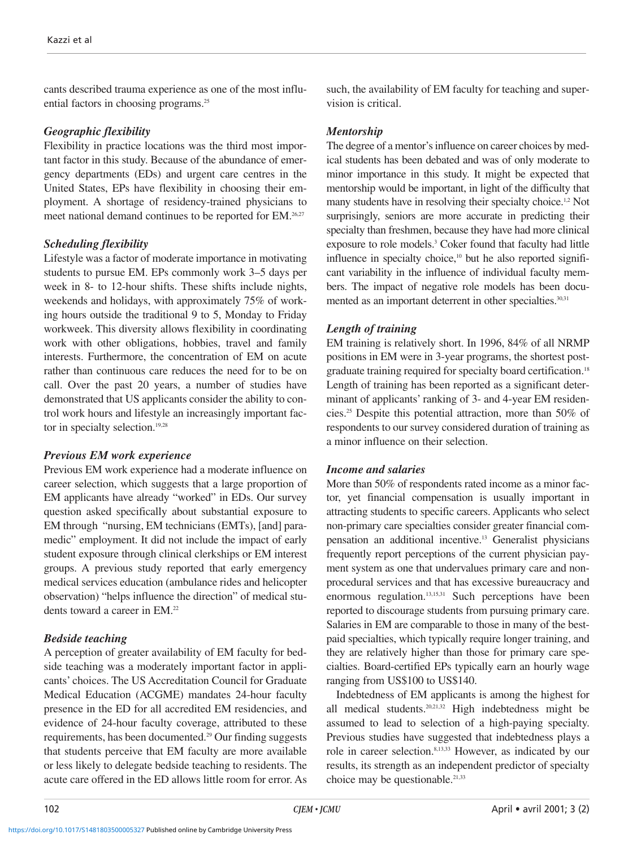cants described trauma experience as one of the most influential factors in choosing programs.<sup>25</sup>

#### *Geographic flexibility*

Flexibility in practice locations was the third most important factor in this study. Because of the abundance of emergency departments (EDs) and urgent care centres in the United States, EPs have flexibility in choosing their employment. A shortage of residency-trained physicians to meet national demand continues to be reported for EM.<sup>26,27</sup>

# *Scheduling flexibility*

Lifestyle was a factor of moderate importance in motivating students to pursue EM. EPs commonly work 3–5 days per week in 8- to 12-hour shifts. These shifts include nights, weekends and holidays, with approximately 75% of working hours outside the traditional 9 to 5, Monday to Friday workweek. This diversity allows flexibility in coordinating work with other obligations, hobbies, travel and family interests. Furthermore, the concentration of EM on acute rather than continuous care reduces the need for to be on call. Over the past 20 years, a number of studies have demonstrated that US applicants consider the ability to control work hours and lifestyle an increasingly important factor in specialty selection.<sup>19,28</sup>

# *Previous EM work experience*

Previous EM work experience had a moderate influence on career selection, which suggests that a large proportion of EM applicants have already "worked" in EDs. Our survey question asked specifically about substantial exposure to EM through "nursing, EM technicians (EMTs), [and] paramedic" employment. It did not include the impact of early student exposure through clinical clerkships or EM interest groups. A previous study reported that early emergency medical services education (ambulance rides and helicopter observation) "helps influence the direction" of medical students toward a career in EM.<sup>22</sup>

# *Bedside teaching*

A perception of greater availability of EM faculty for bedside teaching was a moderately important factor in applicants' choices. The US Accreditation Council for Graduate Medical Education (ACGME) mandates 24-hour faculty presence in the ED for all accredited EM residencies, and evidence of 24-hour faculty coverage, attributed to these requirements, has been documented.29 Our finding suggests that students perceive that EM faculty are more available or less likely to delegate bedside teaching to residents. The acute care offered in the ED allows little room for error. As such, the availability of EM faculty for teaching and supervision is critical.

#### *Mentorship*

The degree of a mentor's influence on career choices by medical students has been debated and was of only moderate to minor importance in this study. It might be expected that mentorship would be important, in light of the difficulty that many students have in resolving their specialty choice.<sup>1,2</sup> Not surprisingly, seniors are more accurate in predicting their specialty than freshmen, because they have had more clinical exposure to role models.<sup>3</sup> Coker found that faculty had little influence in specialty choice, $10$  but he also reported significant variability in the influence of individual faculty members. The impact of negative role models has been documented as an important deterrent in other specialties.<sup>30,31</sup>

# *Length of training*

EM training is relatively short. In 1996, 84% of all NRMP positions in EM were in 3-year programs, the shortest postgraduate training required for specialty board certification.<sup>18</sup> Length of training has been reported as a significant determinant of applicants' ranking of 3- and 4-year EM residencies.25 Despite this potential attraction, more than 50% of respondents to our survey considered duration of training as a minor influence on their selection.

# *Income and salaries*

More than 50% of respondents rated income as a minor factor, yet financial compensation is usually important in attracting students to specific careers. Applicants who select non-primary care specialties consider greater financial compensation an additional incentive.13 Generalist physicians frequently report perceptions of the current physician payment system as one that undervalues primary care and nonprocedural services and that has excessive bureaucracy and enormous regulation.<sup>13,15,31</sup> Such perceptions have been reported to discourage students from pursuing primary care. Salaries in EM are comparable to those in many of the bestpaid specialties, which typically require longer training, and they are relatively higher than those for primary care specialties. Board-certified EPs typically earn an hourly wage ranging from US\$100 to US\$140.

Indebtedness of EM applicants is among the highest for all medical students.20,21,32 High indebtedness might be assumed to lead to selection of a high-paying specialty. Previous studies have suggested that indebtedness plays a role in career selection.<sup>8,13,33</sup> However, as indicated by our results, its strength as an independent predictor of specialty choice may be questionable.<sup>21,33</sup>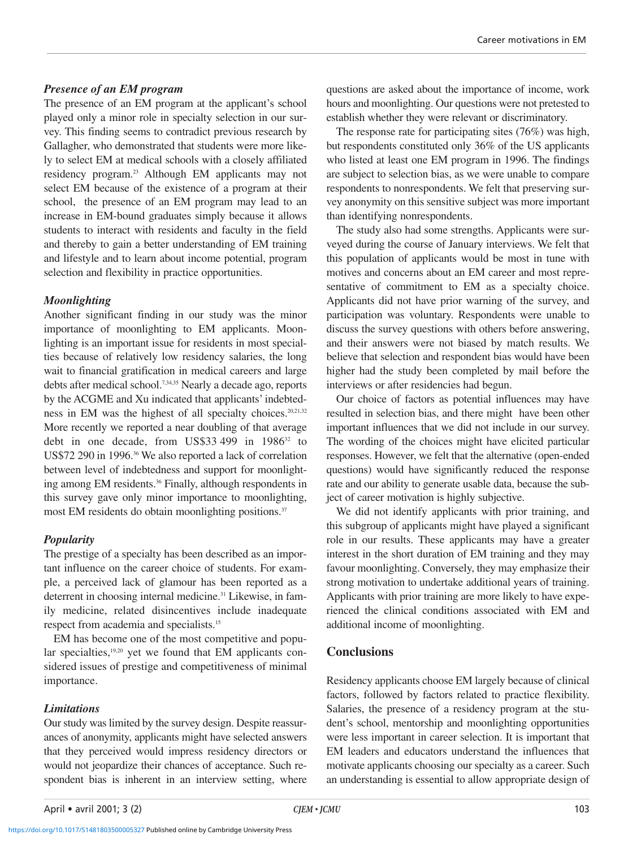#### *Presence of an EM program*

The presence of an EM program at the applicant's school played only a minor role in specialty selection in our survey. This finding seems to contradict previous research by Gallagher, who demonstrated that students were more likely to select EM at medical schools with a closely affiliated residency program.23 Although EM applicants may not select EM because of the existence of a program at their school, the presence of an EM program may lead to an increase in EM-bound graduates simply because it allows students to interact with residents and faculty in the field and thereby to gain a better understanding of EM training and lifestyle and to learn about income potential, program selection and flexibility in practice opportunities.

#### *Moonlighting*

Another significant finding in our study was the minor importance of moonlighting to EM applicants. Moonlighting is an important issue for residents in most specialties because of relatively low residency salaries, the long wait to financial gratification in medical careers and large debts after medical school.<sup>7,34,35</sup> Nearly a decade ago, reports by the ACGME and Xu indicated that applicants' indebtedness in EM was the highest of all specialty choices.<sup>20,21,32</sup> More recently we reported a near doubling of that average debt in one decade, from US\$33 499 in  $1986^{32}$  to US\$72 290 in 1996.<sup>36</sup> We also reported a lack of correlation between level of indebtedness and support for moonlighting among EM residents.<sup>36</sup> Finally, although respondents in this survey gave only minor importance to moonlighting, most EM residents do obtain moonlighting positions.<sup>37</sup>

#### *Popularity*

The prestige of a specialty has been described as an important influence on the career choice of students. For example, a perceived lack of glamour has been reported as a deterrent in choosing internal medicine.<sup>31</sup> Likewise, in family medicine, related disincentives include inadequate respect from academia and specialists.15

EM has become one of the most competitive and popular specialties,<sup>19,20</sup> yet we found that EM applicants considered issues of prestige and competitiveness of minimal importance.

#### *Limitations*

Our study was limited by the survey design. Despite reassurances of anonymity, applicants might have selected answers that they perceived would impress residency directors or would not jeopardize their chances of acceptance. Such respondent bias is inherent in an interview setting, where questions are asked about the importance of income, work hours and moonlighting. Our questions were not pretested to establish whether they were relevant or discriminatory.

The response rate for participating sites (76%) was high, but respondents constituted only 36% of the US applicants who listed at least one EM program in 1996. The findings are subject to selection bias, as we were unable to compare respondents to nonrespondents. We felt that preserving survey anonymity on this sensitive subject was more important than identifying nonrespondents.

The study also had some strengths. Applicants were surveyed during the course of January interviews. We felt that this population of applicants would be most in tune with motives and concerns about an EM career and most representative of commitment to EM as a specialty choice. Applicants did not have prior warning of the survey, and participation was voluntary. Respondents were unable to discuss the survey questions with others before answering, and their answers were not biased by match results. We believe that selection and respondent bias would have been higher had the study been completed by mail before the interviews or after residencies had begun.

Our choice of factors as potential influences may have resulted in selection bias, and there might have been other important influences that we did not include in our survey. The wording of the choices might have elicited particular responses. However, we felt that the alternative (open-ended questions) would have significantly reduced the response rate and our ability to generate usable data, because the subject of career motivation is highly subjective.

We did not identify applicants with prior training, and this subgroup of applicants might have played a significant role in our results. These applicants may have a greater interest in the short duration of EM training and they may favour moonlighting. Conversely, they may emphasize their strong motivation to undertake additional years of training. Applicants with prior training are more likely to have experienced the clinical conditions associated with EM and additional income of moonlighting.

# **Conclusions**

Residency applicants choose EM largely because of clinical factors, followed by factors related to practice flexibility. Salaries, the presence of a residency program at the student's school, mentorship and moonlighting opportunities were less important in career selection. It is important that EM leaders and educators understand the influences that motivate applicants choosing our specialty as a career. Such an understanding is essential to allow appropriate design of